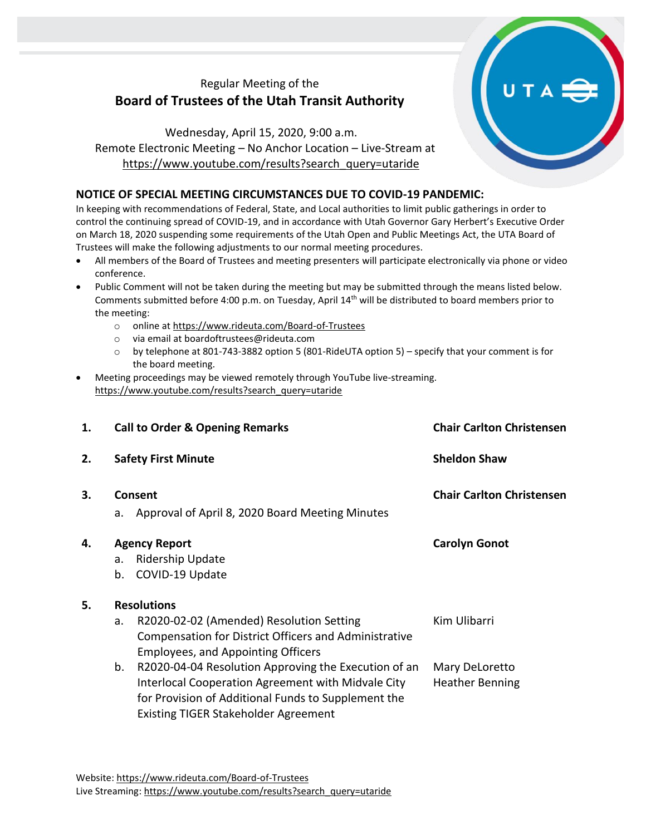## Regular Meeting of the **Board of Trustees of the Utah Transit Authority**

Wednesday, April 15, 2020, 9:00 a.m. Remote Electronic Meeting – No Anchor Location – Live-Stream at [https://www.youtube.com/results?search\\_query=utaride](https://www.youtube.com/results?search_query=utaride)

## **NOTICE OF SPECIAL MEETING CIRCUMSTANCES DUE TO COVID-19 PANDEMIC:**

In keeping with recommendations of Federal, State, and Local authorities to limit public gatherings in order to control the continuing spread of COVID-19, and in accordance with Utah Governor Gary Herbert's Executive Order on March 18, 2020 suspending some requirements of the Utah Open and Public Meetings Act, the UTA Board of Trustees will make the following adjustments to our normal meeting procedures.

- All members of the Board of Trustees and meeting presenters will participate electronically via phone or video conference.
- Public Comment will not be taken during the meeting but may be submitted through the means listed below. Comments submitted before 4:00 p.m. on Tuesday, April 14th will be distributed to board members prior to the meeting:
	- o online at<https://www.rideuta.com/Board-of-Trustees>
	- o via email at [boardoftrustees@rideuta.com](mailto:boardoftrustees@rideuta.com)
	- o by telephone at 801-743-3882 option 5 (801-RideUTA option 5) specify that your comment is for the board meeting.
- Meeting proceedings may be viewed remotely through YouTube live-streaming. [https://www.youtube.com/results?search\\_query=utaride](https://www.youtube.com/results?search_query=utaride)

| 1. | <b>Call to Order &amp; Opening Remarks</b> |                                                       | <b>Chair Carlton Christensen</b> |  |
|----|--------------------------------------------|-------------------------------------------------------|----------------------------------|--|
| 2. | <b>Safety First Minute</b>                 |                                                       | <b>Sheldon Shaw</b>              |  |
| 3. |                                            | Consent                                               | <b>Chair Carlton Christensen</b> |  |
|    | a.                                         | Approval of April 8, 2020 Board Meeting Minutes       |                                  |  |
| 4. | <b>Agency Report</b>                       |                                                       | <b>Carolyn Gonot</b>             |  |
|    | a.                                         | <b>Ridership Update</b>                               |                                  |  |
|    | b.                                         | COVID-19 Update                                       |                                  |  |
| 5. | <b>Resolutions</b>                         |                                                       |                                  |  |
|    | a.                                         | R2020-02-02 (Amended) Resolution Setting              | Kim Ulibarri                     |  |
|    |                                            | Compensation for District Officers and Administrative |                                  |  |
|    |                                            | <b>Employees, and Appointing Officers</b>             |                                  |  |
|    | b.                                         | R2020-04-04 Resolution Approving the Execution of an  | Mary DeLoretto                   |  |
|    |                                            | Interlocal Cooperation Agreement with Midvale City    | <b>Heather Benning</b>           |  |
|    |                                            | for Provision of Additional Funds to Supplement the   |                                  |  |
|    |                                            | <b>Existing TIGER Stakeholder Agreement</b>           |                                  |  |